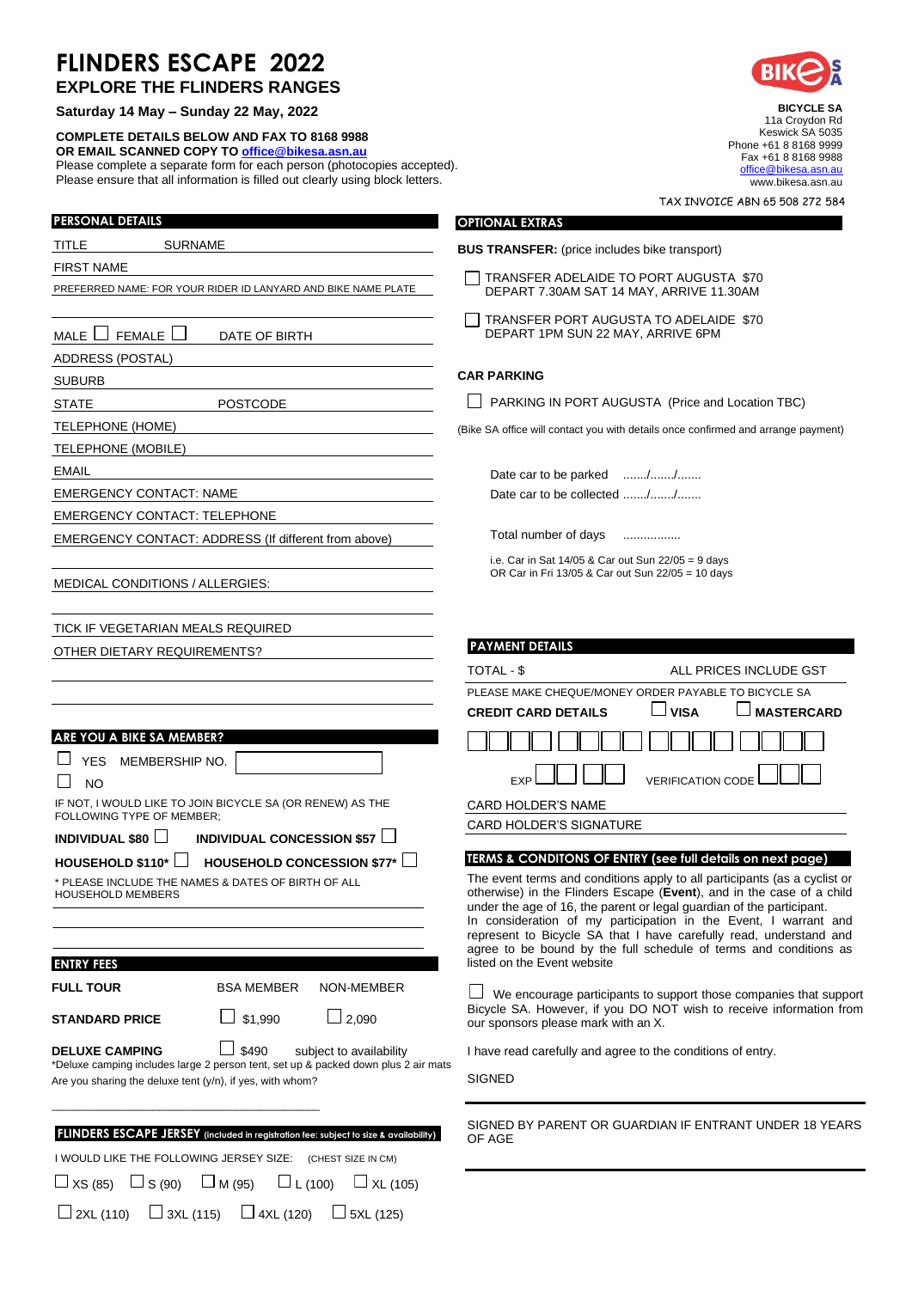## **FLINDERS ESCAPE 2022**

| <b>EXPLORE THE FLINDERS RANGES</b> |  |
|------------------------------------|--|
|------------------------------------|--|

**Saturday 14 May – Sunday 22 May, 2022**

**COMPLETE DETAILS BELOW AND FAX TO 8168 9988 OR EMAIL SCANNED COPY TO [office@bikesa.asn.au](mailto:office@bikesa.asn.au)** Please complete a separate form for each person (photocopies accepted). Please ensure that all information is filled out clearly using block letters.

 $\Box$  2XL (110)  $\Box$  3XL (115)  $\Box$  4XL (120)  $\Box$  5XL (125)

| <b>PERSONAL DETAILS</b>                                                                                                                         | <b>OPTIONAL EXTRAS</b>                                                                               |
|-------------------------------------------------------------------------------------------------------------------------------------------------|------------------------------------------------------------------------------------------------------|
| TITLE<br><b>SURNAME</b>                                                                                                                         | <b>BUS TRANSFER:</b> (price includes bike transport)                                                 |
| <b>FIRST NAME</b>                                                                                                                               |                                                                                                      |
| PREFERRED NAME: FOR YOUR RIDER ID LANYARD AND BIKE NAME PLATE                                                                                   | TRANSFER ADELAIDE TO PORT AUGUS<br>DEPART 7.30AM SAT 14 MAY, ARRIVE 11                               |
|                                                                                                                                                 | TRANSFER PORT AUGUSTA TO ADELAII                                                                     |
| FEMALE I<br>MALE<br>DATE OF BIRTH                                                                                                               | DEPART 1PM SUN 22 MAY, ARRIVE 6PM                                                                    |
| <b>ADDRESS (POSTAL)</b>                                                                                                                         |                                                                                                      |
| <b>SUBURB</b>                                                                                                                                   | <b>CAR PARKING</b>                                                                                   |
| <b>STATE</b><br><b>POSTCODE</b>                                                                                                                 | PARKING IN PORT AUGUSTA (Price and                                                                   |
| TELEPHONE (HOME)                                                                                                                                | (Bike SA office will contact you with details once confirm                                           |
| TELEPHONE (MOBILE)                                                                                                                              |                                                                                                      |
| <b>EMAIL</b>                                                                                                                                    | Date car to be parked //                                                                             |
| <b>EMERGENCY CONTACT: NAME</b>                                                                                                                  | Date car to be collected //                                                                          |
| <b>EMERGENCY CONTACT: TELEPHONE</b>                                                                                                             |                                                                                                      |
| EMERGENCY CONTACT: ADDRESS (If different from above)                                                                                            | Total number of days<br>.                                                                            |
|                                                                                                                                                 | i.e. Car in Sat 14/05 & Car out Sun 22/05 = 9 day<br>OR Car in Fri 13/05 & Car out Sun 22/05 = 10 da |
| MEDICAL CONDITIONS / ALLERGIES:                                                                                                                 |                                                                                                      |
|                                                                                                                                                 |                                                                                                      |
| TICK IF VEGETARIAN MEALS REQUIRED                                                                                                               |                                                                                                      |
| OTHER DIETARY REQUIREMENTS?                                                                                                                     | <b>PAYMENT DETAILS</b>                                                                               |
|                                                                                                                                                 | TOTAL - \$<br><b>ALL PRIC</b>                                                                        |
|                                                                                                                                                 | PLEASE MAKE CHEQUE/MONEY ORDER PAYABL<br>J VISA<br><b>CREDIT CARD DETAILS</b>                        |
| ARE YOU A BIKE SA MEMBER?                                                                                                                       |                                                                                                      |
| <b>YES</b><br>MEMBERSHIP NO.                                                                                                                    |                                                                                                      |
| <b>NO</b>                                                                                                                                       | <b>EXP</b><br><b>VERIFICATION</b>                                                                    |
| IF NOT, I WOULD LIKE TO JOIN BICYCLE SA (OR RENEW) AS THE                                                                                       | <b>CARD HOLDER'S NAME</b>                                                                            |
| FOLLOWING TYPE OF MEMBER;                                                                                                                       | CARD HOLDER'S SIGNATURE                                                                              |
| INDIVIDUAL CONCESSION \$57 $\Box$<br>INDIVIDUAL \$80                                                                                            |                                                                                                      |
| HOUSEHOLD \$110* $\lfloor$<br>HOUSEHOLD CONCESSION \$77*<br>$\Box$                                                                              | TERMS & CONDITONS OF ENTRY (see full def                                                             |
| * PLEASE INCLUDE THE NAMES & DATES OF BIRTH OF ALL<br>HOUSEHOLD MEMBERS                                                                         | The event terms and conditions apply to all pa<br>otherwise) in the Flinders Escape (Event), ar      |
|                                                                                                                                                 | under the age of 16, the parent or legal guardia<br>In consideration of my participation in the      |
|                                                                                                                                                 | represent to Bicycle SA that I have carefully                                                        |
| <b>ENTRY FEES</b>                                                                                                                               | agree to be bound by the full schedule of to<br>listed on the Event website                          |
| <b>FULL TOUR</b><br><b>BSA MEMBER</b><br><b>NON-MEMBER</b>                                                                                      |                                                                                                      |
|                                                                                                                                                 | We encourage participants to support thore<br>Bicycle SA. However, if you DO NOT wish to             |
| $\Box$ 2,090<br>\$1,990<br><b>STANDARD PRICE</b>                                                                                                | our sponsors please mark with an X.                                                                  |
| \$490<br><b>DELUXE CAMPING</b><br>subject to availability                                                                                       | I have read carefully and agree to the condition                                                     |
| *Deluxe camping includes large 2 person tent, set up & packed down plus 2 air mats<br>Are you sharing the deluxe tent (y/n), if yes, with whom? | <b>SIGNED</b>                                                                                        |
|                                                                                                                                                 |                                                                                                      |
|                                                                                                                                                 | SIGNED BY PARENT OR GUARDIAN IF ENT                                                                  |
| FLINDERS ESCAPE JERSEY (included in registration fee: subject to size & availability)                                                           | OF AGE                                                                                               |
| I WOULD LIKE THE FOLLOWING JERSEY SIZE: (CHEST SIZE IN CM)                                                                                      |                                                                                                      |
| $\Box$ S (90)<br>$\Box$ XS (85)<br>$\Box$ M (95)<br>$\Box$ L (100)<br>$\Box$ XL (105)                                                           |                                                                                                      |



**BICYCLE SA** 11a Croydon Rd Keswick SA 5035 Phone +61 8 8168 9999 Fax +61 8 8168 9988 [office@bikesa.asn.au](mailto:office@bikesa.asn.au) www.bikesa.asn.au

TAX INVOICE ABN 65 508 272 584

- JGUSTA \$70 **IVE 11.30AM**
- ELAIDE \$70 6PM

e and Location TBC)

confirmed and arrange payment)

= 9 days 10 days

| <b>PAYMENT DETAILS</b>                               |                          |                   |  |
|------------------------------------------------------|--------------------------|-------------------|--|
| TOTAL - \$                                           | ALL PRICES INCLUDE GST   |                   |  |
| PLEASE MAKE CHEQUE/MONEY ORDER PAYABLE TO BICYCLE SA |                          |                   |  |
| <b>CREDIT CARD DETAILS</b>                           | VISA                     | <b>MASTERCARD</b> |  |
|                                                      |                          |                   |  |
|                                                      | <b>VERIFICATION CODE</b> |                   |  |
| <b>CARD HOLDER'S NAME</b>                            |                          |                   |  |
| <b>CARD HOLDER'S SIGNATURE</b>                       |                          |                   |  |
|                                                      |                          |                   |  |

### **<u>Il details on next page)</u>**

all participants (as a cyclist or **it**), and in the case of a child uardian of the participant. In consideration of my participation in the Event, I warrant and represent to Bicycle SA that I have carefully read, understand and of terms and conditions as

ort those companies that support vish to receive information from

I ditions of entry.

ENTRANT UNDER 18 YEARS